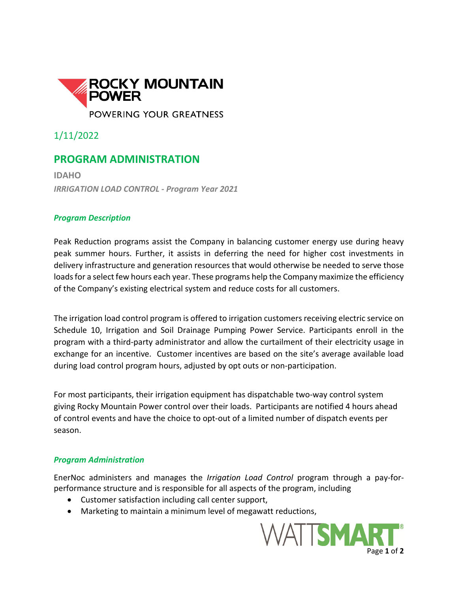

1/11/2022

## **PROGRAM ADMINISTRATION**

**IDAHO** *IRRIGATION LOAD CONTROL - Program Year 2021*

## *Program Description*

Peak Reduction programs assist the Company in balancing customer energy use during heavy peak summer hours. Further, it assists in deferring the need for higher cost investments in delivery infrastructure and generation resources that would otherwise be needed to serve those loads for a select few hours each year. These programs help the Company maximize the efficiency of the Company's existing electrical system and reduce costs for all customers.

The irrigation load control program is offered to irrigation customers receiving electric service on Schedule 10, Irrigation and Soil Drainage Pumping Power Service. Participants enroll in the program with a third-party administrator and allow the curtailment of their electricity usage in exchange for an incentive. Customer incentives are based on the site's average available load during load control program hours, adjusted by opt outs or non-participation.

For most participants, their irrigation equipment has dispatchable two-way control system giving Rocky Mountain Power control over their loads. Participants are notified 4 hours ahead of control events and have the choice to opt-out of a limited number of dispatch events per season.

## *Program Administration*

EnerNoc administers and manages the *Irrigation Load Control* program through a pay-forperformance structure and is responsible for all aspects of the program, including

- Customer satisfaction including call center support,
- Marketing to maintain a minimum level of megawatt reductions,